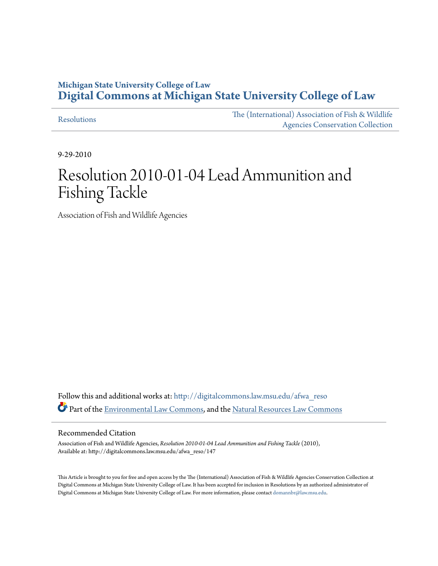## **Michigan State University College of Law [Digital Commons at Michigan State University College of Law](http://digitalcommons.law.msu.edu?utm_source=digitalcommons.law.msu.edu%2Fafwa_reso%2F147&utm_medium=PDF&utm_campaign=PDFCoverPages)**

[Resolutions](http://digitalcommons.law.msu.edu/afwa_reso?utm_source=digitalcommons.law.msu.edu%2Fafwa_reso%2F147&utm_medium=PDF&utm_campaign=PDFCoverPages)

[The \(International\) Association of Fish & Wildlife](http://digitalcommons.law.msu.edu/afwa?utm_source=digitalcommons.law.msu.edu%2Fafwa_reso%2F147&utm_medium=PDF&utm_campaign=PDFCoverPages) [Agencies Conservation Collection](http://digitalcommons.law.msu.edu/afwa?utm_source=digitalcommons.law.msu.edu%2Fafwa_reso%2F147&utm_medium=PDF&utm_campaign=PDFCoverPages)

9-29-2010

# Resolution 2010-01-04 Lead Ammunition and Fishing Tackle

Association of Fish and Wildlife Agencies

Follow this and additional works at: [http://digitalcommons.law.msu.edu/afwa\\_reso](http://digitalcommons.law.msu.edu/afwa_reso?utm_source=digitalcommons.law.msu.edu%2Fafwa_reso%2F147&utm_medium=PDF&utm_campaign=PDFCoverPages) Part of the [Environmental Law Commons](http://network.bepress.com/hgg/discipline/599?utm_source=digitalcommons.law.msu.edu%2Fafwa_reso%2F147&utm_medium=PDF&utm_campaign=PDFCoverPages), and the [Natural Resources Law Commons](http://network.bepress.com/hgg/discipline/863?utm_source=digitalcommons.law.msu.edu%2Fafwa_reso%2F147&utm_medium=PDF&utm_campaign=PDFCoverPages)

### Recommended Citation

Association of Fish and Wildlife Agencies, *Resolution 2010-01-04 Lead Ammunition and Fishing Tackle* (2010), Available at: http://digitalcommons.law.msu.edu/afwa\_reso/147

This Article is brought to you for free and open access by the The (International) Association of Fish & Wildlife Agencies Conservation Collection at Digital Commons at Michigan State University College of Law. It has been accepted for inclusion in Resolutions by an authorized administrator of Digital Commons at Michigan State University College of Law. For more information, please contact [domannbr@law.msu.edu](mailto:domannbr@law.msu.edu).